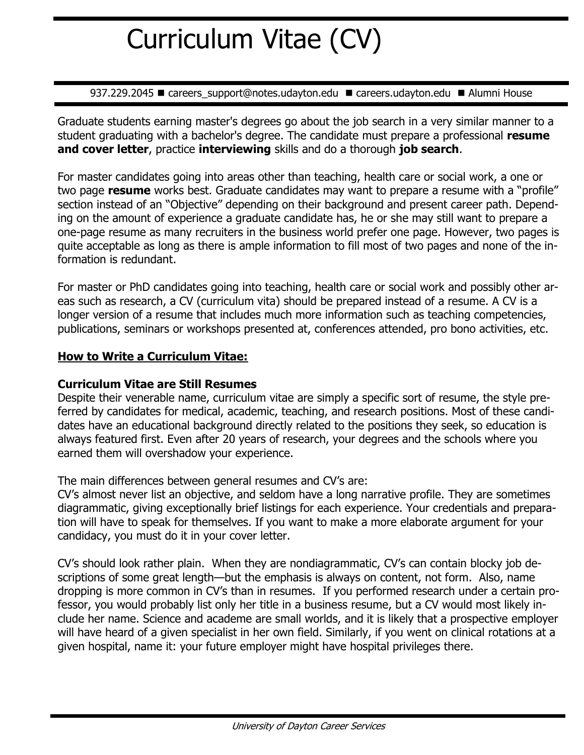# Curriculum Vitae (CV)

937.229.2045 · careers\_support@notes.udayton.edu · careers.udayton.edu · Alumni House

Graduate students earning master's degrees go about the job search in a very similar manner to a student graduating with a bachelor's degree. The candidate must prepare a professional **resume and cover letter**, practice **interviewing** skills and do a thorough **job search**.

For master candidates going into areas other than teaching, health care or social work, a one or two page **resume** works best. Graduate candidates may want to prepare a resume with a "profile" section instead of an "Objective" depending on their background and present career path. Depending on the amount of experience a graduate candidate has, he or she may still want to prepare a one-page resume as many recruiters in the business world prefer one page. However, two pages is quite acceptable as long as there is ample information to fill most of two pages and none of the information is redundant.

For master or PhD candidates going into teaching, health care or social work and possibly other areas such as research, a CV (curriculum vita) should be prepared instead of a resume. A CV is a longer version of a resume that includes much more information such as teaching competencies, publications, seminars or workshops presented at, conferences attended, pro bono activities, etc.

#### **How to Write a Curriculum Vitae:**

#### **Curriculum Vitae are Still Resumes**

Despite their venerable name, curriculum vitae are simply a specific sort of resume, the style preferred by candidates for medical, academic, teaching, and research positions. Most of these candidates have an educational background directly related to the positions they seek, so education is always featured first. Even after 20 years of research, your degrees and the schools where you earned them will overshadow your experience.

The main differences between general resumes and CV's are:

CV's almost never list an objective, and seldom have a long narrative profile. They are sometimes diagrammatic, giving exceptionally brief listings for each experience. Your credentials and preparation will have to speak for themselves. If you want to make a more elaborate argument for your candidacy, you must do it in your cover letter.

CV's should look rather plain. When they are nondiagrammatic, CV's can contain blocky job descriptions of some great length—but the emphasis is always on content, not form. Also, name dropping is more common in CV's than in resumes. If you performed research under a certain professor, you would probably list only her title in a business resume, but a CV would most likely include her name. Science and academe are small worlds, and it is likely that a prospective employer will have heard of a given specialist in her own field. Similarly, if you went on clinical rotations at a given hospital, name it: your future employer might have hospital privileges there.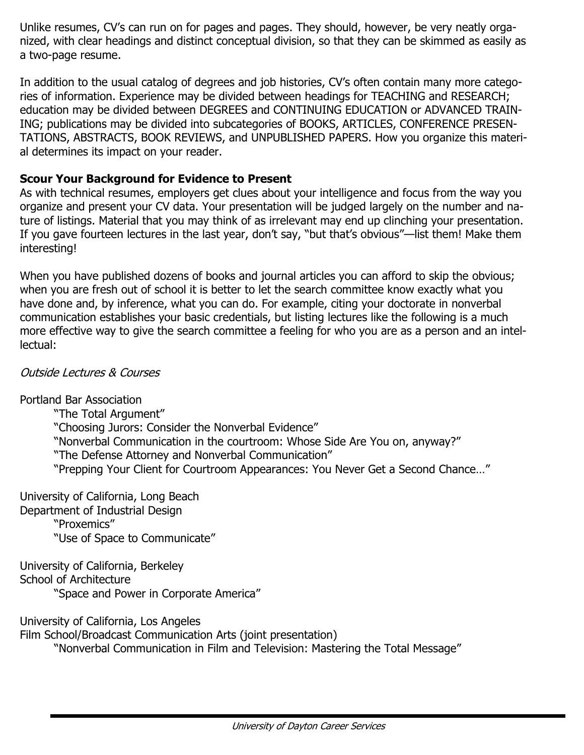Unlike resumes, CV's can run on for pages and pages. They should, however, be very neatly organized, with clear headings and distinct conceptual division, so that they can be skimmed as easily as a two-page resume.

In addition to the usual catalog of degrees and job histories, CV's often contain many more categories of information. Experience may be divided between headings for TEACHING and RESEARCH; education may be divided between DEGREES and CONTINUING EDUCATION or ADVANCED TRAIN-ING; publications may be divided into subcategories of BOOKS, ARTICLES, CONFERENCE PRESEN-TATIONS, ABSTRACTS, BOOK REVIEWS, and UNPUBLISHED PAPERS. How you organize this material determines its impact on your reader.

### **Scour Your Background for Evidence to Present**

As with technical resumes, employers get clues about your intelligence and focus from the way you organize and present your CV data. Your presentation will be judged largely on the number and nature of listings. Material that you may think of as irrelevant may end up clinching your presentation. If you gave fourteen lectures in the last year, don't say, "but that's obvious"—list them! Make them interesting!

When you have published dozens of books and journal articles you can afford to skip the obvious; when you are fresh out of school it is better to let the search committee know exactly what you have done and, by inference, what you can do. For example, citing your doctorate in nonverbal communication establishes your basic credentials, but listing lectures like the following is a much more effective way to give the search committee a feeling for who you are as a person and an intellectual:

#### Outside Lectures & Courses

Portland Bar Association

"The Total Argument" "Choosing Jurors: Consider the Nonverbal Evidence" "Nonverbal Communication in the courtroom: Whose Side Are You on, anyway?" "The Defense Attorney and Nonverbal Communication" "Prepping Your Client for Courtroom Appearances: You Never Get a Second Chance…"

University of California, Long Beach Department of Industrial Design "Proxemics" "Use of Space to Communicate"

University of California, Berkeley School of Architecture "Space and Power in Corporate America"

University of California, Los Angeles

Film School/Broadcast Communication Arts (joint presentation)

"Nonverbal Communication in Film and Television: Mastering the Total Message"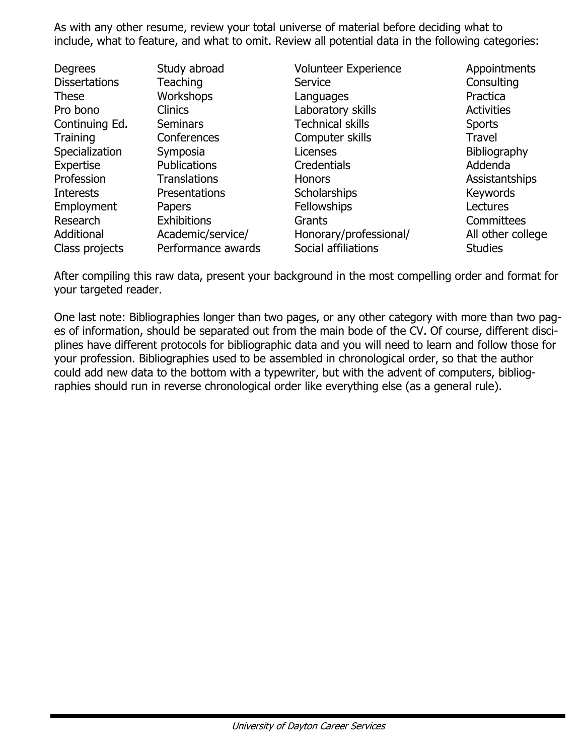As with any other resume, review your total universe of material before deciding what to include, what to feature, and what to omit. Review all potential data in the following categories:

| Degrees              | Study abroad        | Volunteer Experience    | Appointments      |
|----------------------|---------------------|-------------------------|-------------------|
| <b>Dissertations</b> | <b>Teaching</b>     | Service                 | Consulting        |
| <b>These</b>         | <b>Workshops</b>    | Languages               | Practica          |
| Pro bono             | <b>Clinics</b>      | Laboratory skills       | <b>Activities</b> |
| Continuing Ed.       | <b>Seminars</b>     | <b>Technical skills</b> | Sports            |
| Training             | Conferences         | Computer skills         | <b>Travel</b>     |
| Specialization       | Symposia            | Licenses                | Bibliography      |
| Expertise            | <b>Publications</b> | Credentials             | Addenda           |
| Profession           | <b>Translations</b> | <b>Honors</b>           | Assistantships    |
| <b>Interests</b>     | Presentations       | Scholarships            | Keywords          |
| Employment           | Papers              | <b>Fellowships</b>      | Lectures          |
| Research             | <b>Exhibitions</b>  | Grants                  | Committees        |
| Additional           | Academic/service/   | Honorary/professional/  | All other college |
| Class projects       | Performance awards  | Social affiliations     | <b>Studies</b>    |

After compiling this raw data, present your background in the most compelling order and format for your targeted reader.

One last note: Bibliographies longer than two pages, or any other category with more than two pages of information, should be separated out from the main bode of the CV. Of course, different disciplines have different protocols for bibliographic data and you will need to learn and follow those for your profession. Bibliographies used to be assembled in chronological order, so that the author could add new data to the bottom with a typewriter, but with the advent of computers, bibliographies should run in reverse chronological order like everything else (as a general rule).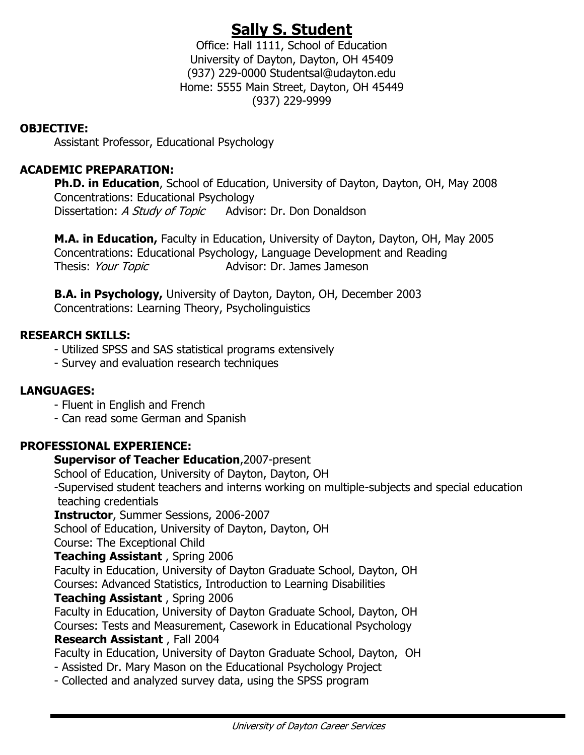# **Sally S. Student**

Office: Hall 1111, School of Education University of Dayton, Dayton, OH 45409 (937) 229-0000 Studentsal@udayton.edu Home: 5555 Main Street, Dayton, OH 45449 (937) 229-9999

## **OBJECTIVE:**

Assistant Professor, Educational Psychology

# **ACADEMIC PREPARATION:**

**Ph.D. in Education**, School of Education, University of Dayton, Dayton, OH, May 2008 Concentrations: Educational Psychology Dissertation: A Study of Topic Advisor: Dr. Don Donaldson

**M.A. in Education,** Faculty in Education, University of Dayton, Dayton, OH, May 2005 Concentrations: Educational Psychology, Language Development and Reading Thesis: Your Topic Thesis: Your Topic Advisor: Dr. James Jameson

**B.A. in Psychology,** University of Dayton, Dayton, OH, December 2003 Concentrations: Learning Theory, Psycholinguistics

# **RESEARCH SKILLS:**

- Utilized SPSS and SAS statistical programs extensively
- Survey and evaluation research techniques

# **LANGUAGES:**

- Fluent in English and French
- Can read some German and Spanish

# **PROFESSIONAL EXPERIENCE:**

**Supervisor of Teacher Education**,2007-present School of Education, University of Dayton, Dayton, OH -Supervised student teachers and interns working on multiple-subjects and special education teaching credentials **Instructor**, Summer Sessions, 2006-2007 School of Education, University of Dayton, Dayton, OH Course: The Exceptional Child **Teaching Assistant** , Spring 2006 Faculty in Education, University of Dayton Graduate School, Dayton, OH Courses: Advanced Statistics, Introduction to Learning Disabilities **Teaching Assistant** , Spring 2006 Faculty in Education, University of Dayton Graduate School, Dayton, OH Courses: Tests and Measurement, Casework in Educational Psychology **Research Assistant** , Fall 2004 Faculty in Education, University of Dayton Graduate School, Dayton, OH - Assisted Dr. Mary Mason on the Educational Psychology Project - Collected and analyzed survey data, using the SPSS program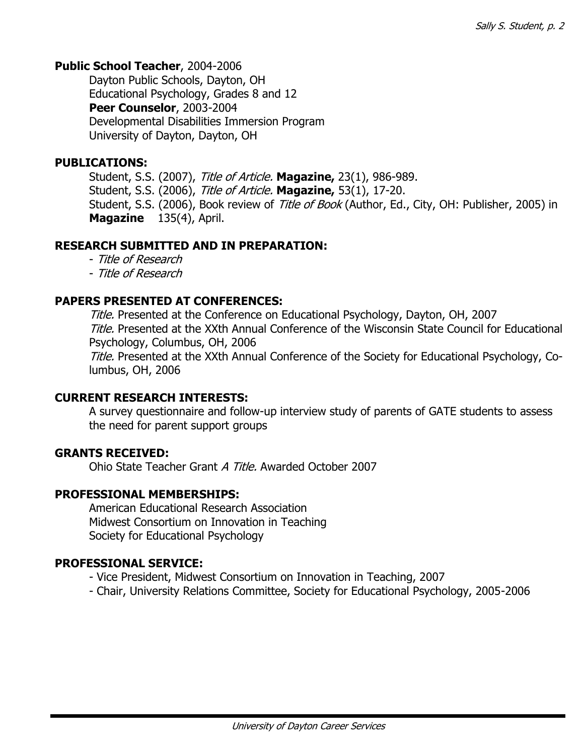#### **Public School Teacher**, 2004-2006

Dayton Public Schools, Dayton, OH Educational Psychology, Grades 8 and 12 **Peer Counselor**, 2003-2004 Developmental Disabilities Immersion Program University of Dayton, Dayton, OH

#### **PUBLICATIONS:**

Student, S.S. (2007), Title of Article. **Magazine,** 23(1), 986-989. Student, S.S. (2006), Title of Article. **Magazine,** 53(1), 17-20. Student, S.S. (2006), Book review of Title of Book (Author, Ed., City, OH: Publisher, 2005) in **Magazine** 135(4), April.

#### **RESEARCH SUBMITTED AND IN PREPARATION:**

- Title of Research
- Title of Research

#### **PAPERS PRESENTED AT CONFERENCES:**

Title. Presented at the Conference on Educational Psychology, Dayton, OH, 2007 Title. Presented at the XXth Annual Conference of the Wisconsin State Council for Educational Psychology, Columbus, OH, 2006

Title. Presented at the XXth Annual Conference of the Society for Educational Psychology, Columbus, OH, 2006

#### **CURRENT RESEARCH INTERESTS:**

A survey questionnaire and follow-up interview study of parents of GATE students to assess the need for parent support groups

#### **GRANTS RECEIVED:**

Ohio State Teacher Grant A Title. Awarded October 2007

#### **PROFESSIONAL MEMBERSHIPS:**

American Educational Research Association Midwest Consortium on Innovation in Teaching Society for Educational Psychology

#### **PROFESSIONAL SERVICE:**

- Vice President, Midwest Consortium on Innovation in Teaching, 2007

- Chair, University Relations Committee, Society for Educational Psychology, 2005-2006